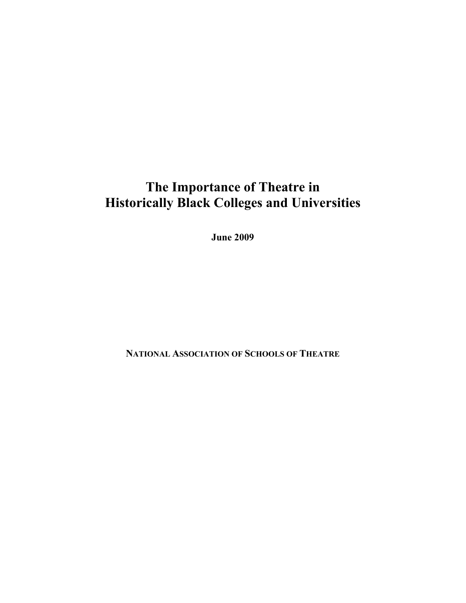# **The Importance of Theatre in Historically Black Colleges and Universities**

**June 2009** 

**NATIONAL ASSOCIATION OF SCHOOLS OF THEATRE**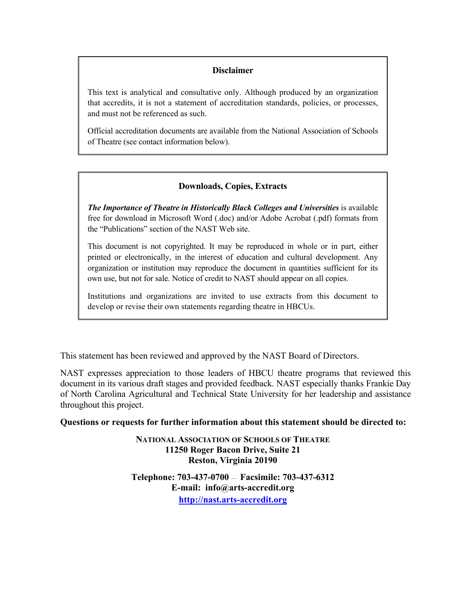# **Disclaimer**

This text is analytical and consultative only. Although produced by an organization that accredits, it is not a statement of accreditation standards, policies, or processes, and must not be referenced as such.

Official accreditation documents are available from the National Association of Schools of Theatre (see contact information below).

# **Downloads, Copies, Extracts**

*The Importance of Theatre in Historically Black Colleges and Universities* is available free for download in Microsoft Word (.doc) and/or Adobe Acrobat (.pdf) formats from the "Publications" section of the NAST Web site.

This document is not copyrighted. It may be reproduced in whole or in part, either printed or electronically, in the interest of education and cultural development. Any organization or institution may reproduce the document in quantities sufficient for its own use, but not for sale. Notice of credit to NAST should appear on all copies.

Institutions and organizations are invited to use extracts from this document to develop or revise their own statements regarding theatre in HBCUs.

This statement has been reviewed and approved by the NAST Board of Directors.

NAST expresses appreciation to those leaders of HBCU theatre programs that reviewed this document in its various draft stages and provided feedback. NAST especially thanks Frankie Day of North Carolina Agricultural and Technical State University for her leadership and assistance throughout this project.

**Questions or requests for further information about this statement should be directed to:** 

**NATIONAL ASSOCIATION OF SCHOOLS OF THEATRE 11250 Roger Bacon Drive, Suite 21 Reston, Virginia 20190** 

**Telephone: 703-437-0700** — **Facsimile: 703-437-6312 E-mail: info@arts-accredit.org [http://nast.arts-accredit.org](http://nast.arts-accredit.org/)**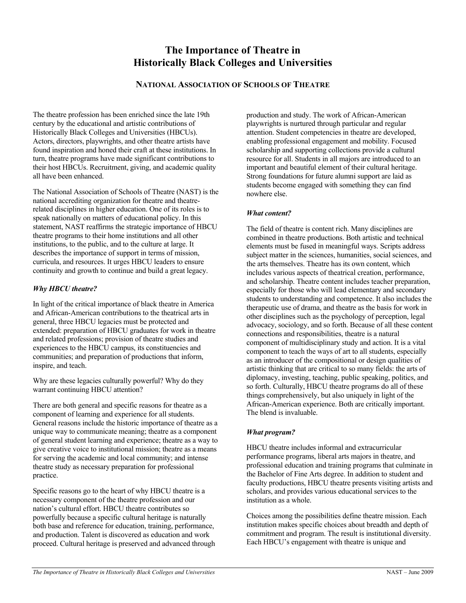# **The Importance of Theatre in Historically Black Colleges and Universities**

## **NATIONAL ASSOCIATION OF SCHOOLS OF THEATRE**

The theatre profession has been enriched since the late 19th century by the educational and artistic contributions of Historically Black Colleges and Universities (HBCUs). Actors, directors, playwrights, and other theatre artists have found inspiration and honed their craft at these institutions. In turn, theatre programs have made significant contributions to their host HBCUs. Recruitment, giving, and academic quality all have been enhanced.

The National Association of Schools of Theatre (NAST) is the national accrediting organization for theatre and theatrerelated disciplines in higher education. One of its roles is to speak nationally on matters of educational policy. In this statement, NAST reaffirms the strategic importance of HBCU theatre programs to their home institutions and all other institutions, to the public, and to the culture at large. It describes the importance of support in terms of mission, curricula, and resources. It urges HBCU leaders to ensure continuity and growth to continue and build a great legacy.

#### *Why HBCU theatre?*

In light of the critical importance of black theatre in America and African-American contributions to the theatrical arts in general, three HBCU legacies must be protected and extended: preparation of HBCU graduates for work in theatre and related professions; provision of theatre studies and experiences to the HBCU campus, its constituencies and communities; and preparation of productions that inform, inspire, and teach.

Why are these legacies culturally powerful? Why do they warrant continuing HBCU attention?

There are both general and specific reasons for theatre as a component of learning and experience for all students. General reasons include the historic importance of theatre as a unique way to communicate meaning; theatre as a component of general student learning and experience; theatre as a way to give creative voice to institutional mission; theatre as a means for serving the academic and local community; and intense theatre study as necessary preparation for professional practice.

Specific reasons go to the heart of why HBCU theatre is a necessary component of the theatre profession and our nation's cultural effort. HBCU theatre contributes so powerfully because a specific cultural heritage is naturally both base and reference for education, training, performance, and production. Talent is discovered as education and work proceed. Cultural heritage is preserved and advanced through production and study. The work of African-American playwrights is nurtured through particular and regular attention. Student competencies in theatre are developed, enabling professional engagement and mobility. Focused scholarship and supporting collections provide a cultural resource for all. Students in all majors are introduced to an important and beautiful element of their cultural heritage. Strong foundations for future alumni support are laid as students become engaged with something they can find nowhere else.

#### *What content?*

The field of theatre is content rich. Many disciplines are combined in theatre productions. Both artistic and technical elements must be fused in meaningful ways. Scripts address subject matter in the sciences, humanities, social sciences, and the arts themselves. Theatre has its own content, which includes various aspects of theatrical creation, performance, and scholarship. Theatre content includes teacher preparation, especially for those who will lead elementary and secondary students to understanding and competence. It also includes the therapeutic use of drama, and theatre as the basis for work in other disciplines such as the psychology of perception, legal advocacy, sociology, and so forth. Because of all these content connections and responsibilities, theatre is a natural component of multidisciplinary study and action. It is a vital component to teach the ways of art to all students, especially as an introducer of the compositional or design qualities of artistic thinking that are critical to so many fields: the arts of diplomacy, investing, teaching, public speaking, politics, and so forth. Culturally, HBCU theatre programs do all of these things comprehensively, but also uniquely in light of the African-American experience. Both are critically important. The blend is invaluable.

## *What program?*

HBCU theatre includes informal and extracurricular performance programs, liberal arts majors in theatre, and professional education and training programs that culminate in the Bachelor of Fine Arts degree. In addition to student and faculty productions, HBCU theatre presents visiting artists and scholars, and provides various educational services to the institution as a whole.

Choices among the possibilities define theatre mission. Each institution makes specific choices about breadth and depth of commitment and program. The result is institutional diversity. Each HBCU's engagement with theatre is unique and